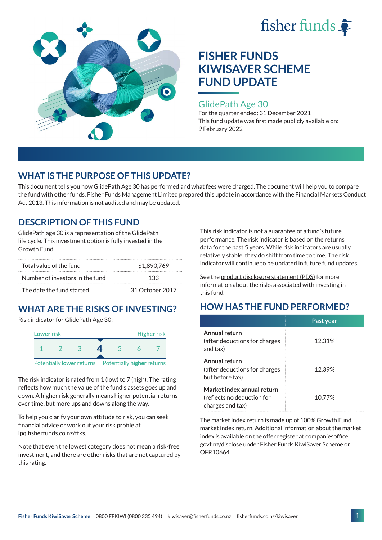



## GlidePath Age 30

For the quarter ended: 31 December 2021 This fund update was first made publicly available on: 9 February 2022

# **WHAT IS THE PURPOSE OF THIS UPDATE?**

This document tells you how GlidePath Age 30 has performed and what fees were charged. The document will help you to compare the fund with other funds. Fisher Funds Management Limited prepared this update in accordance with the Financial Markets Conduct Act 2013. This information is not audited and may be updated.

# **DESCRIPTION OF THIS FUND**

GlidePath age 30 is a representation of the GlidePath life cycle. This investment option is fully invested in the Growth Fund.

| Total value of the fund         | \$1,890,769     |  |
|---------------------------------|-----------------|--|
| Number of investors in the fund | 133             |  |
| The date the fund started       | 31 October 2017 |  |

# **WHAT ARE THE RISKS OF INVESTING?**

Risk indicator for GlidePath Age 30:



The risk indicator is rated from 1 (low) to 7 (high). The rating

reflects how much the value of the fund's assets goes up and down. A higher risk generally means higher potential returns over time, but more ups and downs along the way.

To help you clarify your own attitude to risk, you can seek financial advice or work out your risk profile at [ipq.fisherfunds.co.nz/ffks](https://ipq.fisherfunds.co.nz/ffks).

Note that even the lowest category does not mean a risk-free investment, and there are other risks that are not captured by this rating.

This risk indicator is not a guarantee of a fund's future performance. The risk indicator is based on the returns data for the past 5 years. While risk indicators are usually relatively stable, they do shift from time to time. The risk indicator will continue to be updated in future fund updates.

See the [product disclosure statement \(PDS\)](https://fisherfunds.co.nz/assets/PDS/Fisher-Funds-KiwiSaver-Scheme-PDS.pdf) for more information about the risks associated with investing in this fund.

# **HOW HAS THE FUND PERFORMED?**

|                                                                              | Past year |
|------------------------------------------------------------------------------|-----------|
| Annual return<br>(after deductions for charges<br>and tax)                   | 12.31%    |
| Annual return<br>(after deductions for charges<br>but before tax)            | 12.39%    |
| Market index annual return<br>(reflects no deduction for<br>charges and tax) | 1077%     |

The market index return is made up of 100% Growth Fund market index return. Additional information about the market index is available on the offer register at [companiesoffice.](http://companiesoffice.govt.nz/disclose) [govt.nz/disclose](http://companiesoffice.govt.nz/disclose) under Fisher Funds KiwiSaver Scheme or OFR10664.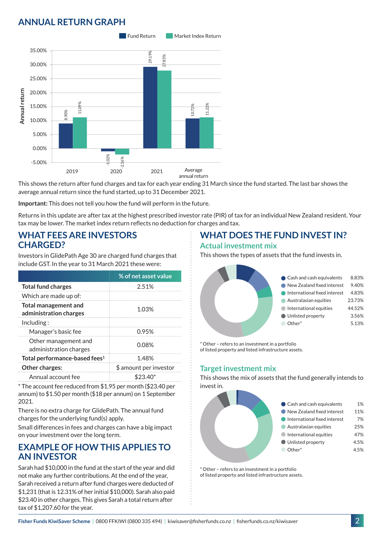# **ANNUAL RETURN GRAPH**



This shows the return after fund charges and tax for each year ending 31 March since the fund started. The last bar shows the average annual return since the fund started, up to 31 December 2021.

**Important:** This does not tell you how the fund will perform in the future.

Returns in this update are after tax at the highest prescribed investor rate (PIR) of tax for an individual New Zealand resident. Your tax may be lower. The market index return reflects no deduction for charges and tax.

### **WHAT FEES ARE INVESTORS CHARGED?**

Investors in GlidePath Age 30 are charged fund charges that include GST. In the year to 31 March 2021 these were:

|                                                       | % of net asset value   |  |
|-------------------------------------------------------|------------------------|--|
| <b>Total fund charges</b>                             | 2.51%                  |  |
| Which are made up of:                                 |                        |  |
| <b>Total management and</b><br>administration charges | 1.03%                  |  |
| Inding:                                               |                        |  |
| Manager's basic fee                                   | 0.95%                  |  |
| Other management and<br>administration charges        | 0.08%                  |  |
| Total performance-based fees <sup>1</sup>             | 1.48%                  |  |
| Other charges:                                        | \$ amount per investor |  |
| Annual account fee                                    | \$23.40*               |  |

\* The account fee reduced from \$1.95 per month (\$23.40 per annum) to \$1.50 per month (\$18 per annum) on 1 September 2021.

There is no extra charge for GlidePath. The annual fund charges for the underlying fund(s) apply.

Small differences in fees and charges can have a big impact on your investment over the long term.

## **EXAMPLE OF HOW THIS APPLIES TO AN INVESTOR**

Sarah had \$10,000 in the fund at the start of the year and did not make any further contributions. At the end of the year, Sarah received a return after fund charges were deducted of \$1,231 (that is 12.31% of her initial \$10,000). Sarah also paid \$23.40 in other charges. This gives Sarah a total return after tax of \$1,207.60 for the year.

# **WHAT DOES THE FUND INVEST IN?**

#### **Actual investment mix**

This shows the types of assets that the fund invests in.



\* Other – refers to an investment in a portfolio of listed property and listed infrastructure assets.

### **Target investment mix**

This shows the mix of assets that the fund generally intends to invest in.



\* Other – refers to an investment in a portfolio of listed property and listed infrastructure assets.